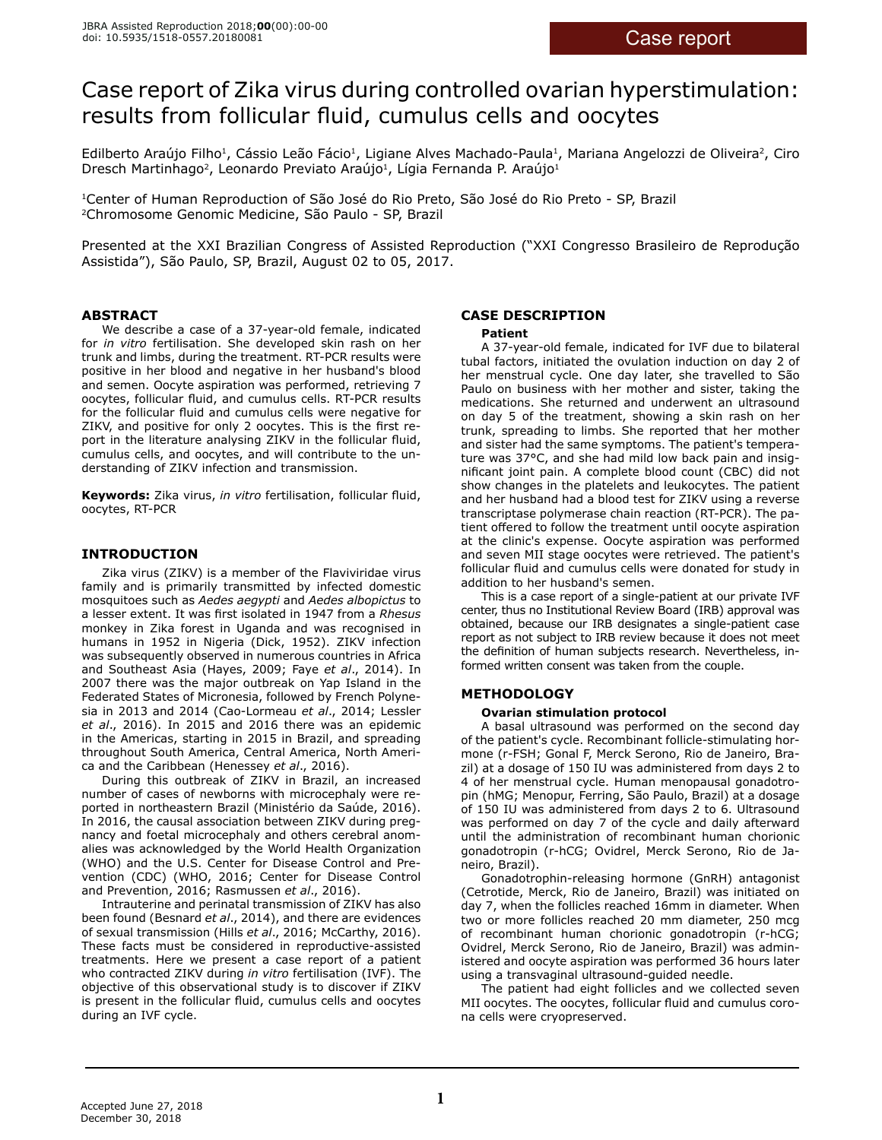# Case report of Zika virus during controlled ovarian hyperstimulation: results from follicular fluid, cumulus cells and oocytes

Edilberto Araújo Filho<sup>1</sup>, Cássio Leão Fácio<sup>1</sup>, Ligiane Alves Machado-Paula<sup>1</sup>, Mariana Angelozzi de Oliveira<sup>2</sup>, Ciro Dresch Martinhago<sup>2</sup>, Leonardo Previato Araújo<sup>1</sup>, Lígia Fernanda P. Araújo<sup>1</sup>

<sup>1</sup>Center of Human Reproduction of São José do Rio Preto, São José do Rio Preto - SP, Brazil <sup>2</sup>Chromosome Genomic Medicine, São Paulo - SP, Brazil

Presented at the XXI Brazilian Congress of Assisted Reproduction ("XXI Congresso Brasileiro de Reprodução Assistida"), São Paulo, SP, Brazil, August 02 to 05, 2017.

## **ABSTRACT**

We describe a case of a 37-year-old female, indicated for *in vitro* fertilisation. She developed skin rash on her trunk and limbs, during the treatment. RT-PCR results were positive in her blood and negative in her husband's blood and semen. Oocyte aspiration was performed, retrieving 7 oocytes, follicular fluid, and cumulus cells. RT-PCR results for the follicular fluid and cumulus cells were negative for ZIKV, and positive for only 2 oocytes. This is the first report in the literature analysing ZIKV in the follicular fluid, cumulus cells, and oocytes, and will contribute to the understanding of ZIKV infection and transmission.

**Keywords:** Zika virus, *in vitro* fertilisation, follicular fluid, oocytes, RT-PCR

# **INTRODUCTION**

Zika virus (ZIKV) is a member of the Flaviviridae virus family and is primarily transmitted by infected domestic mosquitoes such as *Aedes aegypti* and *Aedes albopictus* to a lesser extent. It was first isolated in 1947 from a *Rhesus* monkey in Zika forest in Uganda and was recognised in humans in 1952 in Nigeria (Dick, 1952). ZIKV infection was subsequently observed in numerous countries in Africa and Southeast Asia (Hayes, 2009; Faye *et al*., 2014). In 2007 there was the major outbreak on Yap Island in the Federated States of Micronesia, followed by French Polynesia in 2013 and 2014 (Cao-Lormeau *et al*., 2014; Lessler *et al*., 2016). In 2015 and 2016 there was an epidemic in the Americas, starting in 2015 in Brazil, and spreading throughout South America, Central America, North America and the Caribbean (Henessey *et al*., 2016).

During this outbreak of ZIKV in Brazil, an increased number of cases of newborns with microcephaly were reported in northeastern Brazil (Ministério da Saúde, 2016). In 2016, the causal association between ZIKV during pregnancy and foetal microcephaly and others cerebral anomalies was acknowledged by the World Health Organization (WHO) and the U.S. Center for Disease Control and Prevention (CDC) (WHO, 2016; Center for Disease Control and Prevention, 2016; Rasmussen *et al*., 2016).

Intrauterine and perinatal transmission of ZIKV has also been found (Besnard *et al*., 2014), and there are evidences of sexual transmission (Hills *et al*., 2016; McCarthy, 2016). These facts must be considered in reproductive-assisted treatments. Here we present a case report of a patient who contracted ZIKV during *in vitro* fertilisation (IVF). The objective of this observational study is to discover if ZIKV is present in the follicular fluid, cumulus cells and oocytes during an IVF cycle.

# **CASE DESCRIPTION**

## **Patient**

A 37-year-old female, indicated for IVF due to bilateral tubal factors, initiated the ovulation induction on day 2 of her menstrual cycle. One day later, she travelled to São Paulo on business with her mother and sister, taking the medications. She returned and underwent an ultrasound on day 5 of the treatment, showing a skin rash on her trunk, spreading to limbs. She reported that her mother and sister had the same symptoms. The patient's temperature was 37°C, and she had mild low back pain and insignificant joint pain. A complete blood count (CBC) did not show changes in the platelets and leukocytes. The patient and her husband had a blood test for ZIKV using a reverse transcriptase polymerase chain reaction (RT-PCR). The patient offered to follow the treatment until oocyte aspiration at the clinic's expense. Oocyte aspiration was performed and seven MII stage oocytes were retrieved. The patient's follicular fluid and cumulus cells were donated for study in addition to her husband's semen.

This is a case report of a single-patient at our private IVF center, thus no Institutional Review Board (IRB) approval was obtained, because our IRB designates a single-patient case report as not subject to IRB review because it does not meet the definition of human subjects research. Nevertheless, informed written consent was taken from the couple.

# **METHODOLOGY**

## **Ovarian stimulation protocol**

A basal ultrasound was performed on the second day of the patient's cycle. Recombinant follicle-stimulating hormone (r-FSH; Gonal F, Merck Serono, Rio de Janeiro, Brazil) at a dosage of 150 IU was administered from days 2 to 4 of her menstrual cycle. Human menopausal gonadotropin (hMG; Menopur, Ferring, São Paulo, Brazil) at a dosage of 150 IU was administered from days 2 to 6. Ultrasound was performed on day 7 of the cycle and daily afterward until the administration of recombinant human chorionic gonadotropin (r-hCG; Ovidrel, Merck Serono, Rio de Janeiro, Brazil).

Gonadotrophin-releasing hormone (GnRH) antagonist (Cetrotide, Merck, Rio de Janeiro, Brazil) was initiated on day 7, when the follicles reached 16mm in diameter. When two or more follicles reached 20 mm diameter, 250 mcg of recombinant human chorionic gonadotropin (r-hCG; Ovidrel, Merck Serono, Rio de Janeiro, Brazil) was administered and oocyte aspiration was performed 36 hours later using a transvaginal ultrasound-guided needle.

The patient had eight follicles and we collected seven MII oocytes. The oocytes, follicular fluid and cumulus corona cells were cryopreserved.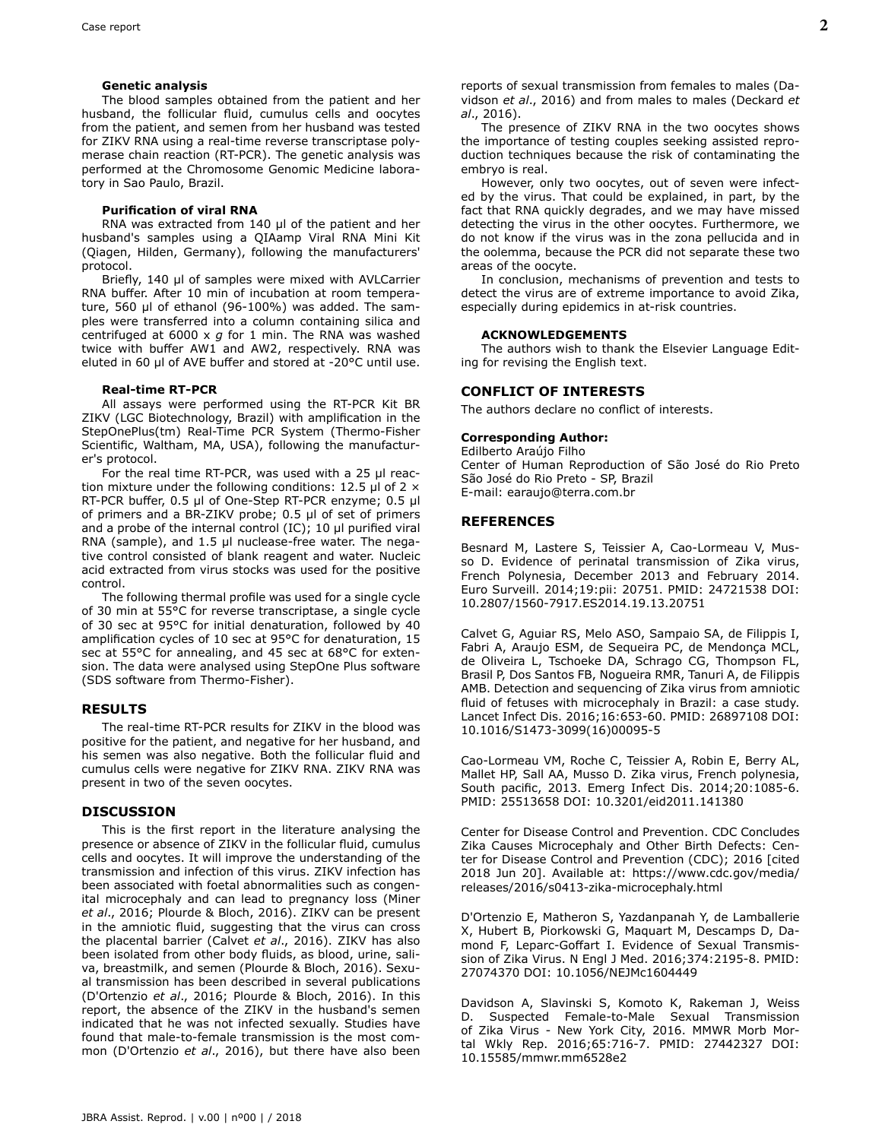#### **Genetic analysis**

The blood samples obtained from the patient and her husband, the follicular fluid, cumulus cells and oocytes from the patient, and semen from her husband was tested for ZIKV RNA using a real-time reverse transcriptase polymerase chain reaction (RT-PCR). The genetic analysis was performed at the Chromosome Genomic Medicine laboratory in Sao Paulo, Brazil.

#### **Purification of viral RNA**

RNA was extracted from 140 µl of the patient and her husband's samples using a QIAamp Viral RNA Mini Kit (Qiagen, Hilden, Germany), following the manufacturers' protocol.

Briefly, 140 µl of samples were mixed with AVLCarrier RNA buffer. After 10 min of incubation at room temperature, 560 µl of ethanol (96-100%) was added. The samples were transferred into a column containing silica and centrifuged at 6000 x *g* for 1 min. The RNA was washed twice with buffer AW1 and AW2, respectively. RNA was eluted in 60 µl of AVE buffer and stored at -20°C until use.

#### **Real-time RT-PCR**

All assays were performed using the RT-PCR Kit BR ZIKV (LGC Biotechnology, Brazil) with amplification in the StepOnePlus(tm) Real-Time PCR System (Thermo-Fisher Scientific, Waltham, MA, USA), following the manufacturer's protocol.

For the real time RT-PCR, was used with a 25 µl reaction mixture under the following conditions: 12.5  $\mu$ l of 2  $\times$ RT-PCR buffer, 0.5 µl of One-Step RT-PCR enzyme; 0.5 µl of primers and a BR-ZIKV probe; 0.5 µl of set of primers and a probe of the internal control (IC); 10 µl purified viral RNA (sample), and 1.5 µl nuclease-free water. The negative control consisted of blank reagent and water. Nucleic acid extracted from virus stocks was used for the positive control.

The following thermal profile was used for a single cycle of 30 min at 55°C for reverse transcriptase, a single cycle of 30 sec at 95°C for initial denaturation, followed by 40 amplification cycles of 10 sec at 95°C for denaturation, 15 sec at 55°C for annealing, and 45 sec at 68°C for extension. The data were analysed using StepOne Plus software (SDS software from Thermo-Fisher).

#### **RESULTS**

The real-time RT-PCR results for ZIKV in the blood was positive for the patient, and negative for her husband, and his semen was also negative. Both the follicular fluid and cumulus cells were negative for ZIKV RNA. ZIKV RNA was present in two of the seven oocytes.

#### **DISCUSSION**

This is the first report in the literature analysing the presence or absence of ZIKV in the follicular fluid, cumulus cells and oocytes. It will improve the understanding of the transmission and infection of this virus. ZIKV infection has been associated with foetal abnormalities such as congenital microcephaly and can lead to pregnancy loss (Miner *et al*., 2016; Plourde & Bloch, 2016). ZIKV can be present in the amniotic fluid, suggesting that the virus can cross the placental barrier (Calvet *et al*., 2016). ZIKV has also been isolated from other body fluids, as blood, urine, saliva, breastmilk, and semen (Plourde & Bloch, 2016). Sexual transmission has been described in several publications (D'Ortenzio *et al*., 2016; Plourde & Bloch, 2016). In this report, the absence of the ZIKV in the husband's semen indicated that he was not infected sexually. Studies have found that male-to-female transmission is the most common (D'Ortenzio *et al*., 2016), but there have also been

*al*., 2016). The presence of ZIKV RNA in the two oocytes shows the importance of testing couples seeking assisted reproduction techniques because the risk of contaminating the embryo is real.

However, only two oocytes, out of seven were infected by the virus. That could be explained, in part, by the fact that RNA quickly degrades, and we may have missed detecting the virus in the other oocytes. Furthermore, we do not know if the virus was in the zona pellucida and in the oolemma, because the PCR did not separate these two areas of the oocyte.

In conclusion, mechanisms of prevention and tests to detect the virus are of extreme importance to avoid Zika, especially during epidemics in at-risk countries.

#### **ACKNOWLEDGEMENTS**

The authors wish to thank the Elsevier Language Editing for revising the English text.

#### **CONFLICT OF INTERESTS**

The authors declare no conflict of interests.

#### **Corresponding Author:**

Edilberto Araújo Filho Center of Human Reproduction of São José do Rio Preto São José do Rio Preto - SP, Brazil E-mail: earaujo@terra.com.br

## **REFERENCES**

Besnard M, Lastere S, Teissier A, Cao-Lormeau V, Musso D. Evidence of perinatal transmission of Zika virus, French Polynesia, December 2013 and February 2014. Euro Surveill. 2014;19:pii: 20751. PMID: 24721538 DOI: 10.2807/1560-7917.ES2014.19.13.20751

Calvet G, Aguiar RS, Melo ASO, Sampaio SA, de Filippis I, Fabri A, Araujo ESM, de Sequeira PC, de Mendonça MCL, de Oliveira L, Tschoeke DA, Schrago CG, Thompson FL, Brasil P, Dos Santos FB, Nogueira RMR, Tanuri A, de Filippis AMB. Detection and sequencing of Zika virus from amniotic fluid of fetuses with microcephaly in Brazil: a case study. Lancet Infect Dis. 2016;16:653-60. PMID: 26897108 DOI: 10.1016/S1473-3099(16)00095-5

Cao-Lormeau VM, Roche C, Teissier A, Robin E, Berry AL, Mallet HP, Sall AA, Musso D. Zika virus, French polynesia, South pacific, 2013. Emerg Infect Dis. 2014;20:1085-6. PMID: 25513658 DOI: 10.3201/eid2011.141380

Center for Disease Control and Prevention. CDC Concludes Zika Causes Microcephaly and Other Birth Defects: Center for Disease Control and Prevention (CDC); 2016 [cited 2018 Jun 20]. Available at: https://www.cdc.gov/media/ releases/2016/s0413-zika-microcephaly.html

D'Ortenzio E, Matheron S, Yazdanpanah Y, de Lamballerie X, Hubert B, Piorkowski G, Maquart M, Descamps D, Damond F, Leparc-Goffart I. Evidence of Sexual Transmission of Zika Virus. N Engl J Med. 2016;374:2195-8. PMID: 27074370 DOI: 10.1056/NEJMc1604449

Davidson A, Slavinski S, Komoto K, Rakeman J, Weiss D. Suspected Female-to-Male Sexual Transmission of Zika Virus - New York City, 2016. MMWR Morb Mortal Wkly Rep. 2016;65:716-7. PMID: 27442327 DOI: 10.15585/mmwr.mm6528e2